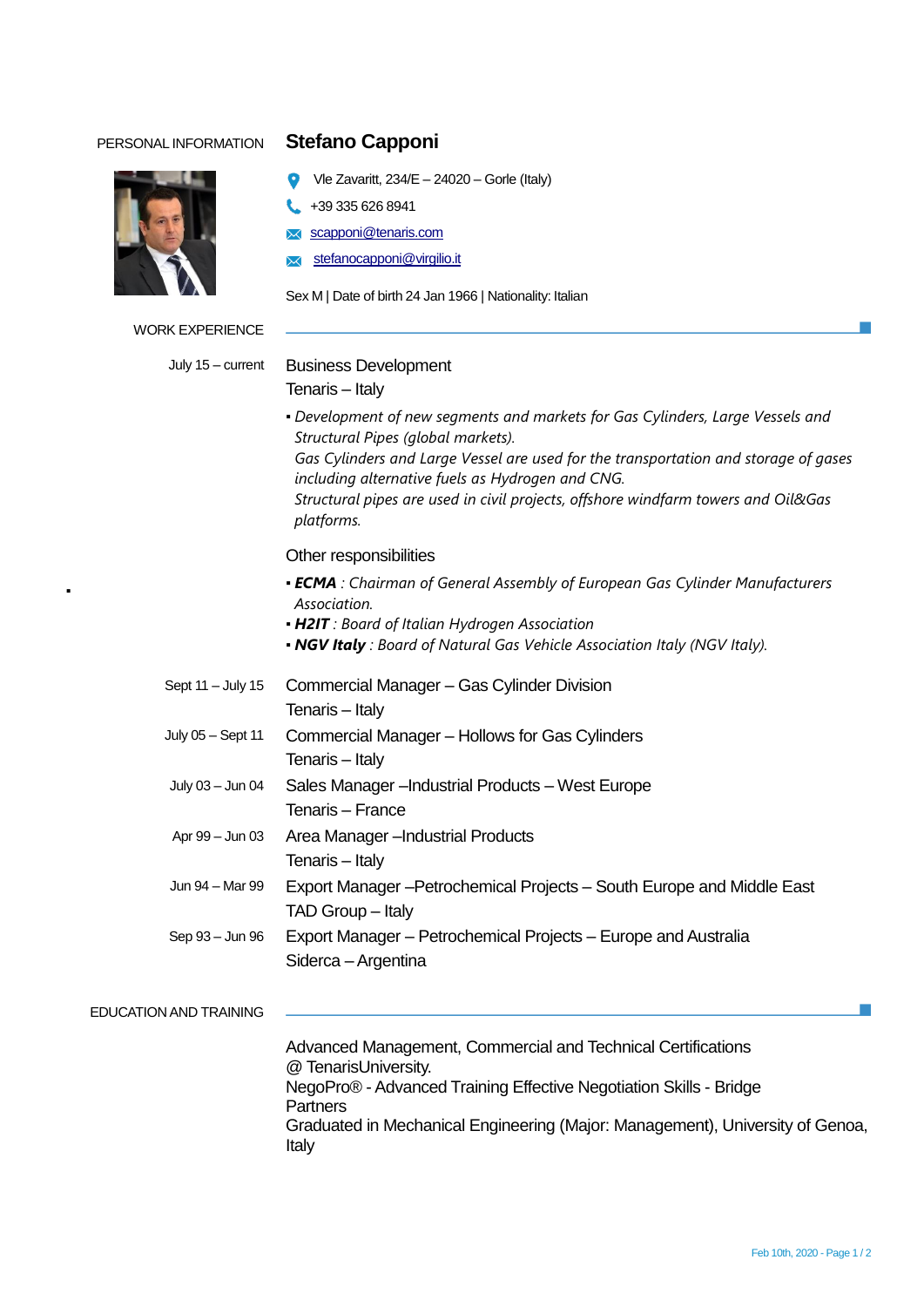# PERSONAL INFORMATION **Stefano Capponi**



▪

- Vle Zavaritt, 234/E 24020 Gorle (Italy)
- +39 335 626 8941
- **x** scapponi@tenaris.com
- [stefanocapponi@virgilio.it](mailto:stefanocapponi@virgilio.it)

Sex M | Date of birth 24 Jan 1966 | Nationality: Italian

## July 15 – current Business Development

Tenaris – Italy

▪ *Development of new segments and markets for Gas Cylinders, Large Vessels and Structural Pipes (global markets).* 

*Gas Cylinders and Large Vessel are used for the transportation and storage of gases including alternative fuels as Hydrogen and CNG.*

*Structural pipes are used in civil projects, offshore windfarm towers and Oil&Gas platforms.*

## Other responsibilities

- *ECMA : Chairman of General Assembly of European Gas Cylinder Manufacturers Association.*
- *H2IT : Board of Italian Hydrogen Association*
- *NGV Italy : Board of Natural Gas Vehicle Association Italy (NGV Italy).*

|                   | Sept 11 – July 15 Commercial Manager – Gas Cylinder Division           |
|-------------------|------------------------------------------------------------------------|
|                   | Tenaris – Italy                                                        |
| July 05 - Sept 11 | Commercial Manager – Hollows for Gas Cylinders                         |
|                   | Tenaris – Italy                                                        |
| July 03 - Jun 04  | Sales Manager - Industrial Products - West Europe                      |
|                   | Tenaris – France                                                       |
| Apr 99 – Jun 03   | Area Manager - Industrial Products                                     |
|                   | Tenaris – Italy                                                        |
| Jun 94 - Mar 99   | Export Manager - Petrochemical Projects - South Europe and Middle East |
|                   | TAD Group - Italy                                                      |
| Sep 93 - Jun 96   | Export Manager – Petrochemical Projects – Europe and Australia         |
|                   | Siderca – Argentina                                                    |

## EDUCATION AND TRAINING

Advanced Management, Commercial and Technical Certifications @ TenarisUniversity. NegoPro® - Advanced Training Effective Negotiation Skills - Bridge **Partners** Graduated in Mechanical Engineering (Major: Management), University of Genoa, Italy